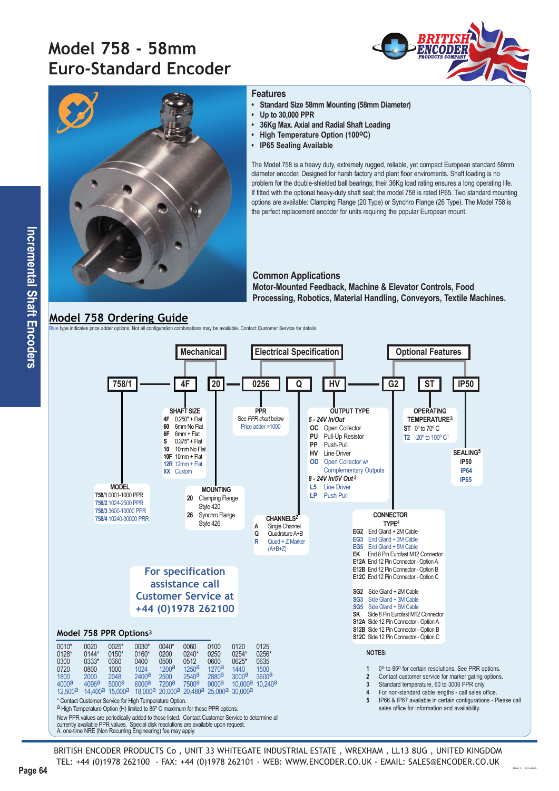# **Model 758 - 58mm Euro-Standard Encoder**





#### **Features**

- **Standard Size 58mm Mounting (58mm Diameter)**
- **Up to 30,000 PPR**
- **36Kg Max. Axial and Radial Shaft Loading**
- **High Temperature Option (100°C)**
- **IP65 Sealing Available**

The Model 758 is a heavy duty, extremely rugged, reliable, yet compact European standard 58mm diameter encoder, Designed for harsh factory and plant floor enviroments. Shaft loading is no problem for the double-shielded ball bearings; their 36Kg load rating ensures a long operating life. If fitted with the optional heavy-duty shaft seal; the model 758 is rated IP65. Two standard mounting options are available: Clamping Flange (20 Type) or Synchro Flange (26 Type). The Model 758 is the perfect replacement encoder for units requiring the popular European mount.

#### **Common Applications**

**Motor-Mounted Feedback, Machine & Elevator Controls, Food Processing, Robotics, Material Handling, Conveyors, Textile Machines.**

### **Model 758 Ordering Guide**

Blue type indicates price adder options. Not all configuration combinations may be available. Contact Customer Service for details.



BRITISH ENCODER PRODUCTS Co , UNIT 33 WHITEGATE INDUSTRIAL ESTATE , WREXHAM , LL13 8UG , UNITED KINGDOM TEL: +44 (0)1978 262100 - FAX: +44 (0)1978 262101 - WEB: WWW.ENCODER.CO.UK - EMAIL: SALES@ENCODER.CO.UK